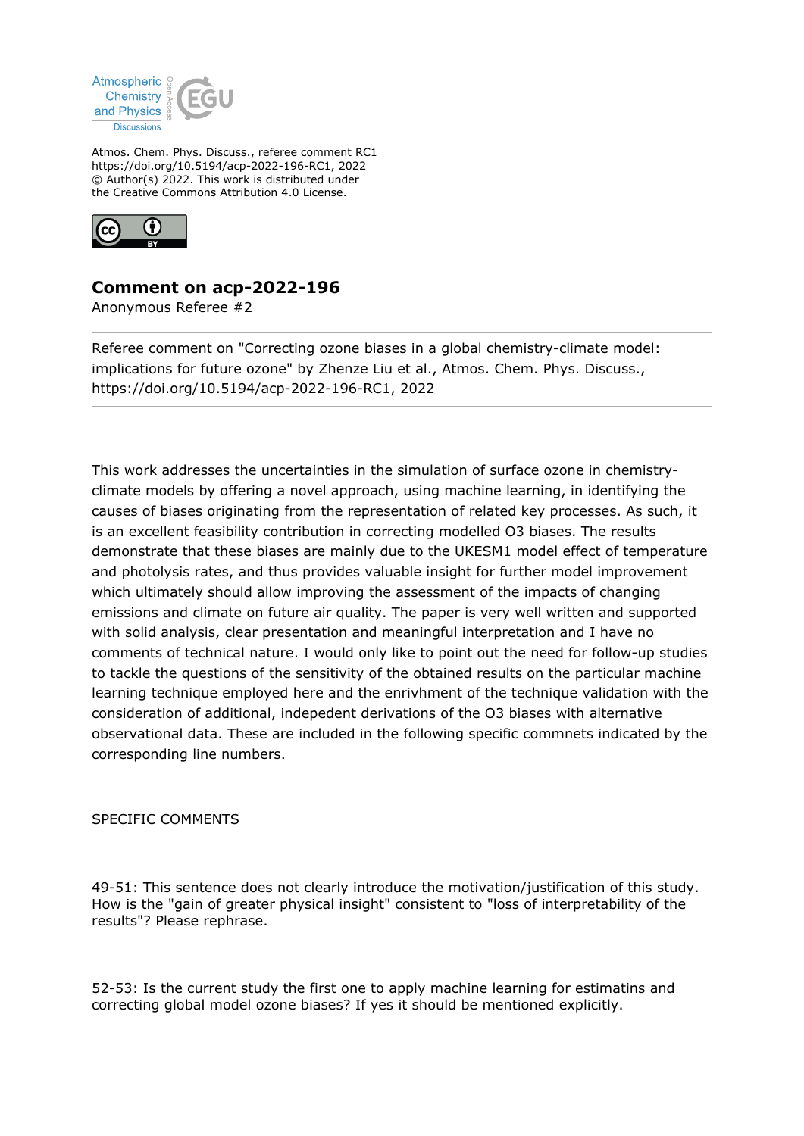

Atmos. Chem. Phys. Discuss., referee comment RC1 https://doi.org/10.5194/acp-2022-196-RC1, 2022 © Author(s) 2022. This work is distributed under the Creative Commons Attribution 4.0 License.



## **Comment on acp-2022-196**

Anonymous Referee #2

Referee comment on "Correcting ozone biases in a global chemistry-climate model: implications for future ozone" by Zhenze Liu et al., Atmos. Chem. Phys. Discuss., https://doi.org/10.5194/acp-2022-196-RC1, 2022

This work addresses the uncertainties in the simulation of surface ozone in chemistryclimate models by offering a novel approach, using machine learning, in identifying the causes of biases originating from the representation of related key processes. As such, it is an excellent feasibility contribution in correcting modelled O3 biases. The results demonstrate that these biases are mainly due to the UKESM1 model effect of temperature and photolysis rates, and thus provides valuable insight for further model improvement which ultimately should allow improving the assessment of the impacts of changing emissions and climate on future air quality. The paper is very well written and supported with solid analysis, clear presentation and meaningful interpretation and I have no comments of technical nature. I would only like to point out the need for follow-up studies to tackle the questions of the sensitivity of the obtained results on the particular machine learning technique employed here and the enrivhment of the technique validation with the consideration of additional, indepedent derivations of the O3 biases with alternative observational data. These are included in the following specific commnets indicated by the corresponding line numbers.

## SPECIFIC COMMENTS

49-51: This sentence does not clearly introduce the motivation/justification of this study. How is the "gain of greater physical insight" consistent to "loss of interpretability of the results"? Please rephrase.

52-53: Is the current study the first one to apply machine learning for estimatins and correcting global model ozone biases? If yes it should be mentioned explicitly.